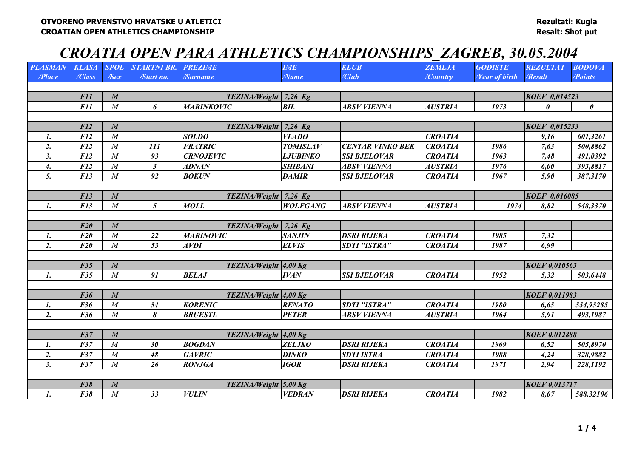# *CROATIA OPEN PARA ATHLETICS CHAMPIONSHIPS\_ZAGREB, 30.05.2004*

| <b>PLASMAN</b> | <b>KLASA</b> | SPOL             | <b>STARTNI BR.</b>   | <b>PREZIME</b>        | <b>IME</b>      | <b>KLUB</b>             | <b>ZEMLJA</b>  | <b>GODISTE</b>              | <b>REZULTAT</b>      | <b>BODOVA</b>         |
|----------------|--------------|------------------|----------------------|-----------------------|-----------------|-------------------------|----------------|-----------------------------|----------------------|-----------------------|
| /Place         | /Class       | $\sqrt{Sex}$     | /Start no.           | /Surname              | <b>Name</b>     | /Club                   | /Country       | <b><i>Near of birth</i></b> | /Resalt              | /Points               |
|                |              |                  |                      |                       |                 |                         |                |                             |                      |                       |
|                | <b>F11</b>   | $\boldsymbol{M}$ |                      | TEZINA/Weight 7,26 Kg |                 |                         |                |                             | KOEF 0,014523        |                       |
|                | <b>F11</b>   | $\boldsymbol{M}$ | 6                    | <b>MARINKOVIC</b>     | BIL             | <b>ABSV VIENNA</b>      | <b>AUSTRIA</b> | 1973                        | 0                    | $\boldsymbol{\theta}$ |
|                |              |                  |                      |                       |                 |                         |                |                             |                      |                       |
|                | F12          | $\boldsymbol{M}$ |                      | TEZINA/Weight 7,26 Kg |                 |                         |                |                             | KOEF 0,015233        |                       |
| 1.             | F12          | $\boldsymbol{M}$ |                      | <b>SOLDO</b>          | <b>VLADO</b>    |                         | <b>CROATIA</b> |                             | 9,16                 | 601,3261              |
| 2.             | F12          | $\boldsymbol{M}$ | <i>111</i>           | <b>FRATRIC</b>        | <b>TOMISLAV</b> | <b>CENTAR VINKO BEK</b> | <b>CROATIA</b> | 1986                        | 7,63                 | 500,8862              |
| 3.             | F12          | $\boldsymbol{M}$ | 93                   | <b>CRNOJEVIC</b>      | <b>LJUBINKO</b> | <b>SSI BJELOVAR</b>     | <b>CROATIA</b> | 1963                        | 7,48                 | 491,0392              |
| 4.             | F12          | $\boldsymbol{M}$ | $\boldsymbol{\beta}$ | <b>ADNAN</b>          | <b>SHIBANI</b>  | <b>ABSV VIENNA</b>      | <b>AUSTRIA</b> | 1976                        | 6,00                 | 393,8817              |
| 5.             | F13          | $\boldsymbol{M}$ | 92                   | <b>BOKUN</b>          | <b>DAMIR</b>    | <b>SSI BJELOVAR</b>     | <b>CROATIA</b> | 1967                        | 5,90                 | 387,3170              |
|                |              |                  |                      |                       |                 |                         |                |                             |                      |                       |
|                | F13          | $\boldsymbol{M}$ |                      | TEZINA/Weight 7,26 Kg |                 |                         |                |                             | <b>KOEF 0,016085</b> |                       |
| $\mathbf{I}$ . | F13          | $\boldsymbol{M}$ | $\mathfrak{F}$       | <b>MOLL</b>           | <b>WOLFGANG</b> | <b>ABSV VIENNA</b>      | <b>AUSTRIA</b> | 1974                        | 8,82                 | 548,3370              |
|                |              |                  |                      |                       |                 |                         |                |                             |                      |                       |
|                | F20          | $\boldsymbol{M}$ |                      | TEZINA/Weight 7,26 Kg |                 |                         |                |                             |                      |                       |
| 1.             | F20          | $\boldsymbol{M}$ | 22                   | <b>MARINOVIC</b>      | <b>SANJIN</b>   | <b>DSRI RIJEKA</b>      | <b>CROATIA</b> | 1985                        | 7,32                 |                       |
| 2.             | F20          | $\boldsymbol{M}$ | 53                   | <b>AVDI</b>           | <b>ELVIS</b>    | <b>SDTI "ISTRA"</b>     | <b>CROATIA</b> | 1987                        | 6,99                 |                       |
|                |              |                  |                      |                       |                 |                         |                |                             |                      |                       |
|                | F35          | $\boldsymbol{M}$ |                      | TEZINA/Weight 4,00 Kg |                 |                         |                |                             | <b>KOEF 0,010563</b> |                       |
| $\mathbf{1}$ . | F35          | $\boldsymbol{M}$ | 91                   | <b>BELAJ</b>          | <b>IVAN</b>     | <b>SSI BJELOVAR</b>     | <b>CROATIA</b> | 1952                        | 5,32                 | 503,6448              |
|                |              |                  |                      |                       |                 |                         |                |                             |                      |                       |
|                | F36          | $\boldsymbol{M}$ |                      | TEZINA/Weight 4,00 Kg |                 |                         |                |                             | KOEF 0,011983        |                       |
| $\mathbf{I}$ . | F36          | $\boldsymbol{M}$ | 54                   | <b>KORENIC</b>        | <b>RENATO</b>   | <b>SDTI "ISTRA"</b>     | <b>CROATIA</b> | 1980                        | 6,65                 | 554,95285             |
| 2.             | F36          | $\boldsymbol{M}$ | 8                    | <b>BRUESTL</b>        | <b>PETER</b>    | <b>ABSV VIENNA</b>      | <b>AUSTRIA</b> | 1964                        | 5,91                 | 493,1987              |
|                |              |                  |                      |                       |                 |                         |                |                             |                      |                       |
|                | F37          | $\boldsymbol{M}$ |                      | TEZINA/Weight 4,00 Kg |                 |                         |                |                             | <b>KOEF 0,012888</b> |                       |
| 1.             | F37          | $\boldsymbol{M}$ | 30                   | <b>BOGDAN</b>         | <b>ZELJKO</b>   | <b>DSRI RIJEKA</b>      | <b>CROATIA</b> | 1969                        | 6,52                 | 505,8970              |
| 2.             | F37          | $\boldsymbol{M}$ | 48                   | <b>GAVRIC</b>         | <b>DINKO</b>    | <b>SDTI ISTRA</b>       | <b>CROATIA</b> | 1988                        | 4,24                 | 328,9882              |
| 3.             | F37          | $\boldsymbol{M}$ | 26                   | <b>RONJGA</b>         | <b>IGOR</b>     | <b>DSRI RIJEKA</b>      | <b>CROATIA</b> | 1971                        | 2,94                 | 228,1192              |
|                |              |                  |                      |                       |                 |                         |                |                             |                      |                       |
|                | F38          | $\boldsymbol{M}$ |                      | TEZINA/Weight 5,00 Kg |                 |                         |                |                             | <b>KOEF 0,013717</b> |                       |
| $\mathbf{1}$ . | F38          | $\boldsymbol{M}$ | 33                   | <b>VULIN</b>          | <b>VEDRAN</b>   | <b>DSRI RIJEKA</b>      | <b>CROATIA</b> | 1982                        | 8,07                 | 588,32106             |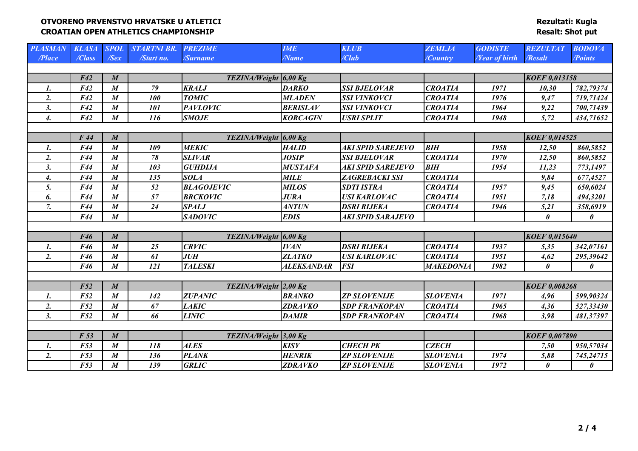**Rezultati: Kugla Resalt: Shot put**

| <b>PLASMAN</b>   | <b>KLASA</b>    | <b>SPOL</b>      | <b>STARTNI BR.</b> | <b>PREZIME</b>        | <b>IME</b>        | <b>KLUB</b>           | <b>ZEMLJA</b>    | <b>GODISTE</b>       | <b>REZULTAT</b>       | <b>BODOVA</b>         |
|------------------|-----------------|------------------|--------------------|-----------------------|-------------------|-----------------------|------------------|----------------------|-----------------------|-----------------------|
| /Place           | /Class          | $\sqrt{Sex}$     | /Start no.         | /Surname              | /Name             | /Club                 | $\sqrt{Country}$ | <b>Year of birth</b> | /Resalt               | /Points               |
|                  |                 |                  |                    |                       |                   |                       |                  |                      |                       |                       |
|                  | F42             | $\boldsymbol{M}$ |                    | TEZINA/Weight 6,00 Kg |                   |                       |                  |                      | <b>KOEF 0,013158</b>  |                       |
| 1.               | F42             | $\boldsymbol{M}$ | 79                 | <b>KRALJ</b>          | <b>DARKO</b>      | <b>SSI BJELOVAR</b>   | <b>CROATIA</b>   | 1971                 | 10,30                 | 782,79374             |
| 2.               | F42             | $\boldsymbol{M}$ | 100                | <b>TOMIC</b>          | <b>MLADEN</b>     | <b>SSI VINKOVCI</b>   | <b>CROATIA</b>   | 1976                 | 9,47                  | 719,71424             |
| 3.               | F42             | $\boldsymbol{M}$ | <b>101</b>         | <b>PAVLOVIC</b>       | <b>BERISLAV</b>   | <b>SSI VINKOVCI</b>   | <b>CROATIA</b>   | 1964                 | 9,22                  | 700,71439             |
| $\overline{4}$ . | F42             | $\boldsymbol{M}$ | 116                | <b>SMOJE</b>          | <b>KORCAGIN</b>   | <b>USRI SPLIT</b>     | <b>CROATIA</b>   | 1948                 | 5,72                  | 434,71652             |
|                  |                 |                  |                    |                       |                   |                       |                  |                      |                       |                       |
|                  | F44             | $\boldsymbol{M}$ |                    | TEZINA/Weight 6,00 Kg |                   |                       |                  |                      | <b>KOEF 0,014525</b>  |                       |
| $\mathbf{I}$ .   | F44             | $\boldsymbol{M}$ | 109                | <b>MEKIC</b>          | <b>HALID</b>      | AKI SPID SAREJEVO     | <b>BIH</b>       | 1958                 | 12,50                 | 860,5852              |
| 2.               | F44             | $\boldsymbol{M}$ | 78                 | <b>SLIVAR</b>         | <b>JOSIP</b>      | <b>SSI BJELOVAR</b>   | <b>CROATIA</b>   | 1970                 | 12,50                 | 860,5852              |
| 3.               | F44             | $\boldsymbol{M}$ | 103                | <b>GUHDIJA</b>        | <b>MUSTAFA</b>    | AKI SPID SAREJEVO     | <b>BIH</b>       | 1954                 | 11,23                 | 773,1497              |
| 4.               | F44             | $\boldsymbol{M}$ | 135                | <b>SOLA</b>           | <b>MILE</b>       | <b>ZAGREBACKI SSI</b> | <b>CROATIA</b>   |                      | 9,84                  | 677,4527              |
| 5.               | F44             | $\boldsymbol{M}$ | 52                 | <b>BLAGOJEVIC</b>     | <b>MILOS</b>      | <b>SDTI ISTRA</b>     | <b>CROATIA</b>   | 1957                 | 9,45                  | 650,6024              |
| 6.               | F44             | $\boldsymbol{M}$ | 57                 | <b>BRCKOVIC</b>       | <b>JURA</b>       | <b>USI KARLOVAC</b>   | <b>CROATIA</b>   | 1951                 | 7,18                  | 494,3201              |
| 7.               | F44             | $\boldsymbol{M}$ | 24                 | <b>SPALJ</b>          | <b>ANTUN</b>      | <b>DSRI RIJEKA</b>    | <b>CROATIA</b>   | 1946                 | 5,21                  | 358,6919              |
|                  | F44             | $\boldsymbol{M}$ |                    | <b>SADOVIC</b>        | <b>EDIS</b>       | AKI SPID SARAJEVO     |                  |                      | $\theta$              | $\boldsymbol{\theta}$ |
|                  |                 |                  |                    |                       |                   |                       |                  |                      |                       |                       |
|                  | F46             | $\boldsymbol{M}$ |                    | TEZINA/Weight 6,00 Kg |                   |                       |                  |                      | <b>KOEF 0,015640</b>  |                       |
| 1.               | F46             | $\boldsymbol{M}$ | 25                 | <b>CRVIC</b>          | <b>IVAN</b>       | <b>DSRI RIJEKA</b>    | <b>CROATIA</b>   | 1937                 | 5,35                  | 342,07161             |
| 2.               | F46             | $\boldsymbol{M}$ | 61                 | <b>JUH</b>            | <b>ZLATKO</b>     | <b>USI KARLOVAC</b>   | <b>CROATIA</b>   | 1951                 | 4,62                  | 295,39642             |
|                  | F46             | $\boldsymbol{M}$ | 121                | <b>TALESKI</b>        | <b>ALEKSANDAR</b> | <b>FSI</b>            | <b>MAKEDONIA</b> | 1982                 | $\theta$              | $\boldsymbol{\theta}$ |
|                  |                 |                  |                    |                       |                   |                       |                  |                      |                       |                       |
|                  | F52             | $\boldsymbol{M}$ |                    | TEZINA/Weight 2,00 Kg |                   |                       |                  |                      | <b>KOEF 0,008268</b>  |                       |
| 1.               | F52             | $\boldsymbol{M}$ | 142                | <b>ZUPANIC</b>        | <b>BRANKO</b>     | <b>ZP SLOVENIJE</b>   | <b>SLOVENIA</b>  | 1971                 | 4,96                  | 599,90324             |
| 2.               | F52             | $\boldsymbol{M}$ | 67                 | <b>LAKIC</b>          | <b>ZDRAVKO</b>    | <b>SDP FRANKOPAN</b>  | <b>CROATIA</b>   | 1965                 | 4,36                  | 527,33430             |
| 3.               | F52             | $\boldsymbol{M}$ | 66                 | <b>LINIC</b>          | <b>DAMIR</b>      | <b>SDP FRANKOPAN</b>  | <b>CROATIA</b>   | 1968                 | 3,98                  | 481,37397             |
|                  |                 |                  |                    |                       |                   |                       |                  |                      |                       |                       |
|                  | F <sub>53</sub> | $\boldsymbol{M}$ |                    | TEZINA/Weight 3,00 Kg |                   |                       |                  |                      | <b>KOEF 0,007890</b>  |                       |
| 1.               | F53             | $\boldsymbol{M}$ | 118                | <b>ALES</b>           | <b>KISY</b>       | СНЕСН РК              | <b>CZECH</b>     |                      | 7,50                  | 950,57034             |
| 2.               | F53             | $\boldsymbol{M}$ | 136                | <b>PLANK</b>          | <b>HENRIK</b>     | <b>ZP SLOVENIJE</b>   | <b>SLOVENIA</b>  | 1974                 | 5,88                  | 745,24715             |
|                  | F53             | $\boldsymbol{M}$ | 139                | <b>GRLIC</b>          | <b>ZDRAVKO</b>    | <b>ZP SLOVENIJE</b>   | <b>SLOVENIA</b>  | 1972                 | $\boldsymbol{\theta}$ | $\boldsymbol{\theta}$ |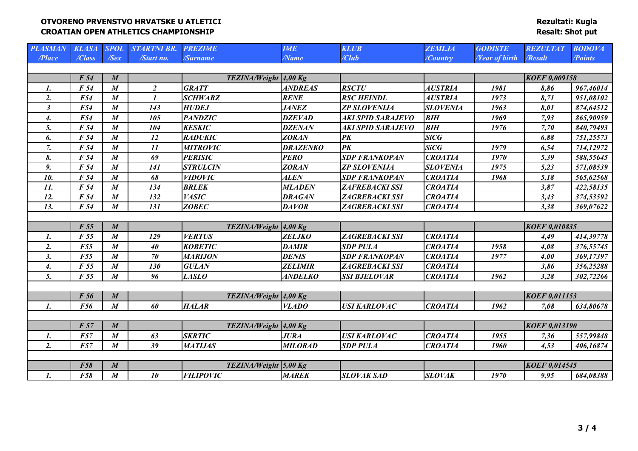| <b>PLASMAN</b>       | <b>KLASA</b>    | <b>SPOL</b>      | <b>STARTNI BR.</b>         | <b>PREZIME</b>        | <b>IME</b>      | <b>KLUB</b>           | <b>ZEMLJA</b>   | <b>GODISTE</b>              | <b>REZULTAT</b>      | <b>BODOVA</b> |
|----------------------|-----------------|------------------|----------------------------|-----------------------|-----------------|-----------------------|-----------------|-----------------------------|----------------------|---------------|
| /Place               | /Class          | $\sqrt{Sex}$     | /Start no.                 | /Surname              | <b>Name</b>     | /Club                 | /Country        | <b><i>Near of birth</i></b> | /Resalt              | /Points       |
|                      |                 |                  |                            |                       |                 |                       |                 |                             |                      |               |
|                      | F <sub>54</sub> | $\boldsymbol{M}$ |                            | TEZINA/Weight 4,00 Kg |                 |                       |                 |                             | <b>KOEF 0,009158</b> |               |
| 1.                   | F 54            | $\boldsymbol{M}$ | $\overline{2}$             | <b>GRATT</b>          | <b>ANDREAS</b>  | <b>RSCTU</b>          | <b>AUSTRIA</b>  | 1981                        | 8,86                 | 967,46014     |
| 2.                   | F54             | $\boldsymbol{M}$ | $\boldsymbol{\mathcal{I}}$ | <b>SCHWARZ</b>        | <b>RENE</b>     | <b>RSC HEINDL</b>     | <b>AUSTRIA</b>  | 1973                        | 8,71                 | 951,08102     |
| $\boldsymbol{\beta}$ | F54             | $\boldsymbol{M}$ | 143                        | <b>HUDEJ</b>          | <b>JANEZ</b>    | <b>ZP SLOVENIJA</b>   | <b>SLOVENIA</b> | 1963                        | 8,01                 | 874,64512     |
| 4.                   | F54             | $\boldsymbol{M}$ | 105                        | <b>PANDZIC</b>        | <b>DZEVAD</b>   | AKI SPID SARAJEVO     | <b>BIH</b>      | 1969                        | 7,93                 | 865,90959     |
| 5.                   | F <sub>54</sub> | $\boldsymbol{M}$ | 104                        | <b>KESKIC</b>         | <b>DZENAN</b>   | AKI SPID SARAJEVO     | <b>BIH</b>      | 1976                        | 7,70                 | 840,79493     |
| 6.                   | F 54            | $\boldsymbol{M}$ | 12                         | <b>RADUKIC</b>        | <b>ZORAN</b>    | $\overline{PK}$       | <b>SiCG</b>     |                             | 6,88                 | 751,25573     |
| 7.                   | F 54            | $\boldsymbol{M}$ | 11                         | <b>MITROVIC</b>       | <b>DRAZENKO</b> | PK                    | SiCG            | 1979                        | 6,54                 | 714,12972     |
| 8.                   | F 54            | $\boldsymbol{M}$ | 69                         | <b>PERISIC</b>        | <b>PERO</b>     | <b>SDP FRANKOPAN</b>  | <b>CROATIA</b>  | 1970                        | 5,39                 | 588,55645     |
| 9.                   | F <sub>54</sub> | $\boldsymbol{M}$ | 141                        | <b>STRULCIN</b>       | <b>ZORAN</b>    | <b>ZP SLOVENIJA</b>   | <b>SLOVENIA</b> | 1975                        | 5,23                 | 571,08539     |
| 10.                  | F <sub>54</sub> | $\boldsymbol{M}$ | 68                         | <b>VIDOVIC</b>        | <b>ALEN</b>     | <b>SDP FRANKOPAN</b>  | <b>CROATIA</b>  | 1968                        | 5,18                 | 565,62568     |
| 11.                  | F 54            | $\boldsymbol{M}$ | 134                        | <b>BRLEK</b>          | <b>MLADEN</b>   | ZAFREBACKI SSI        | <b>CROATIA</b>  |                             | 3,87                 | 422,58135     |
| 12.                  | F <sub>54</sub> | $\boldsymbol{M}$ | 132                        | <b>VASIC</b>          | <b>DRAGAN</b>   | <b>ZAGREBACKI SSI</b> | <b>CROATIA</b>  |                             | 3,43                 | 374,53592     |
| 13.                  | F 54            | $\boldsymbol{M}$ | 131                        | <b>ZOBEC</b>          | <b>DAVOR</b>    | ZAGREBACKI SSI        | <b>CROATIA</b>  |                             | 3,38                 | 369,07622     |
|                      |                 |                  |                            |                       |                 |                       |                 |                             |                      |               |
|                      | F 55            | $\boldsymbol{M}$ |                            | TEZINA/Weight 4,00 Kg |                 |                       |                 |                             | <b>KOEF 0,010835</b> |               |
| 1.                   | F 55            | $\boldsymbol{M}$ | 129                        | <b>VERTUS</b>         | <b>ZELJKO</b>   | ZAGREBACKI SSI        | <b>CROATIA</b>  |                             | 4,49                 | 414,39778     |
| 2.                   | F55             | $\boldsymbol{M}$ | 40                         | <b>KOBETIC</b>        | <b>DAMIR</b>    | <b>SDP PULA</b>       | <b>CROATIA</b>  | 1958                        | 4,08                 | 376,55745     |
| 3.                   | F55             | $\boldsymbol{M}$ | 70                         | <b>MARIJON</b>        | <b>DENIS</b>    | <b>SDP FRANKOPAN</b>  | <b>CROATIA</b>  | 1977                        | 4,00                 | 369,17397     |
| 4.                   | F 55            | $\boldsymbol{M}$ | 130                        | <b>GULAN</b>          | <b>ZELIMIR</b>  | <b>ZAGREBACKI SSI</b> | <b>CROATIA</b>  |                             | 3,86                 | 356,25288     |
| 5.                   | F 55            | $\boldsymbol{M}$ | 96                         | <b>LASLO</b>          | <b>ANDELKO</b>  | <b>SSI BJELOVAR</b>   | <b>CROATIA</b>  | 1962                        | 3,28                 | 302,72266     |
|                      |                 |                  |                            |                       |                 |                       |                 |                             |                      |               |
|                      | F 56            | $\boldsymbol{M}$ |                            | TEZINA/Weight 4,00 Kg |                 |                       |                 |                             | <b>KOEF 0,011153</b> |               |
| $\mathbf{I}$ .       | <b>F56</b>      | $\boldsymbol{M}$ | 60                         | <b>HALAR</b>          | <b>VLADO</b>    | <b>USI KARLOVAC</b>   | <b>CROATIA</b>  | 1962                        | 7,08                 | 634,80678     |
|                      |                 |                  |                            |                       |                 |                       |                 |                             |                      |               |
|                      | F 57            | $\boldsymbol{M}$ |                            | TEZINA/Weight 4,00 Kg |                 |                       |                 |                             | <b>KOEF 0,013190</b> |               |
| 1.                   | <b>F57</b>      | $\boldsymbol{M}$ | 63                         | <b>SKRTIC</b>         | <b>JURA</b>     | <b>USI KARLOVAC</b>   | <b>CROATIA</b>  | 1955                        | 7,36                 | 557,99848     |
| 2.                   | F57             | $\boldsymbol{M}$ | 39                         | <b>MATIJAS</b>        | <b>MILORAD</b>  | <b>SDP PULA</b>       | <b>CROATIA</b>  | 1960                        | 4,53                 | 406,16874     |
|                      |                 |                  |                            |                       |                 |                       |                 |                             |                      |               |
|                      | <b>F58</b>      | $\boldsymbol{M}$ |                            | TEZINA/Weight 5,00 Kg |                 |                       |                 |                             | <b>KOEF 0,014545</b> |               |
| $\mathbf{I}$ .       | F58             | $\boldsymbol{M}$ | 10                         | <b>FILIPOVIC</b>      | <b>MAREK</b>    | <b>SLOVAK SAD</b>     | <b>SLOVAK</b>   | 1970                        | 9,95                 | 684,08388     |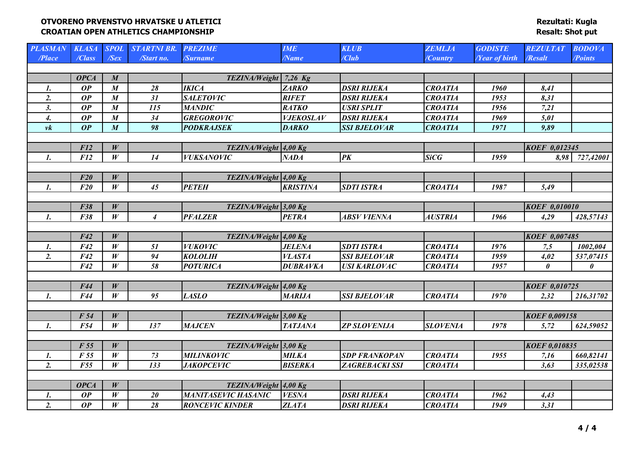| <b>PLASMAN</b> | <b>KLASA</b> SPOL |                  | <b>STARTNI BR.</b> | <b>PREZIME</b>             | <b>IME</b>       | <b>KLUB</b>          | <b>ZEMLJA</b>   | <b>GODISTE</b>       | <b>REZULTAT</b>       | <b>BODOVA</b>         |
|----------------|-------------------|------------------|--------------------|----------------------------|------------------|----------------------|-----------------|----------------------|-----------------------|-----------------------|
| /Place         | /Class            | $\sqrt{Sex}$     | /Start no.         | /Surname                   | <b>Name</b>      | /Club                | <b>Country</b>  | <b>Year of birth</b> | /Resalt               | /Points               |
|                |                   |                  |                    |                            |                  |                      |                 |                      |                       |                       |
|                | <b>OPCA</b>       | $\boldsymbol{M}$ |                    | TEZINA/Weight 7,26 Kg      |                  |                      |                 |                      |                       |                       |
| 1.             | OP                | $\boldsymbol{M}$ | 28                 | <b>IKICA</b>               | <b>ZARKO</b>     | <b>DSRI RIJEKA</b>   | <b>CROATIA</b>  | 1960                 | 8,41                  |                       |
| 2.             | OP                | $\boldsymbol{M}$ | 31                 | <b>SALETOVIC</b>           | <b>RIFET</b>     | <b>DSRI RIJEKA</b>   | <b>CROATIA</b>  | 1953                 | 8,31                  |                       |
| 3.             | OP                | $\pmb{M}$        | 115                | <b>MANDIC</b>              | RATKO            | <b>USRI SPLIT</b>    | <b>CROATIA</b>  | 1956                 | 7,21                  |                       |
| 4.             | OP                | $\boldsymbol{M}$ | 34                 | <b>GREGOROVIC</b>          | <b>VJEKOSLAV</b> | <b>DSRI RIJEKA</b>   | <b>CROATIA</b>  | 1969                 | 5,01                  |                       |
| $\nu k$        | OP                | $\boldsymbol{M}$ | 98                 | <b>PODKRAJSEK</b>          | <b>DARKO</b>     | <b>SSI BJELOVAR</b>  | <b>CROATIA</b>  | 1971                 | 9,89                  |                       |
|                |                   |                  |                    |                            |                  |                      |                 |                      |                       |                       |
|                | <b>F12</b>        | W                |                    | TEZINA/Weight 4,00 Kg      |                  |                      |                 |                      | KOEF 0,012345         |                       |
| $\mathbf{I}$ . | F12               | W                | 14                 | <b>VUKSANOVIC</b>          | <b>NADA</b>      | $\overline{PK}$      | <b>SiCG</b>     | 1959                 | 8,98                  | 727,42001             |
|                |                   |                  |                    |                            |                  |                      |                 |                      |                       |                       |
|                | F20               | W                |                    | TEZINA/Weight 4,00 Kg      |                  |                      |                 |                      |                       |                       |
| $\mathbf{1}$ . | $\overline{F20}$  | $\overline{W}$   | $\overline{45}$    | <b>PETEH</b>               | <b>KRISTINA</b>  | <b>SDTI ISTRA</b>    | <b>CROATIA</b>  | 1987                 | 5,49                  |                       |
|                |                   |                  |                    |                            |                  |                      |                 |                      |                       |                       |
|                | F38               | W                |                    | TEZINA/Weight 3,00 Kg      |                  |                      |                 |                      | KOEF 0,010010         |                       |
| $\mathbf{1}$ . | F38               | W                | $\boldsymbol{4}$   | <b>PFALZER</b>             | <b>PETRA</b>     | <b>ABSV VIENNA</b>   | <b>AUSTRIA</b>  | 1966                 | 4,29                  | 428,57143             |
|                |                   |                  |                    |                            |                  |                      |                 |                      |                       |                       |
|                | F42               | W                |                    | TEZINA/Weight 4,00 Kg      |                  |                      |                 |                      | KOEF 0,007485         |                       |
| 1.             | F42               | W                | 51                 | <b>VUKOVIC</b>             | <b>JELENA</b>    | <b>SDTI ISTRA</b>    | <b>CROATIA</b>  | 1976                 | 7,5                   | 1002,004              |
| 2.             | F42               | W                | 94                 | <b>KOLOLIH</b>             | <b>VLASTA</b>    | <b>SSI BJELOVAR</b>  | <b>CROATIA</b>  | 1959                 | 4,02                  | 537,07415             |
|                | F42               | W                | 58                 | <b>POTURICA</b>            | <b>DUBRAVKA</b>  | <b>USI KARLOVAC</b>  | <b>CROATIA</b>  | 1957                 | $\boldsymbol{\theta}$ | $\boldsymbol{\theta}$ |
|                |                   |                  |                    |                            |                  |                      |                 |                      |                       |                       |
|                | F44               | W                |                    | TEZINA/Weight 4,00 Kg      |                  |                      |                 |                      | <b>KOEF 0,010725</b>  |                       |
| $\mathbf{1}$ . | F44               | W                | 95                 | <b>LASLO</b>               | <b>MARIJA</b>    | <b>SSI BJELOVAR</b>  | <b>CROATIA</b>  | 1970                 | 2,32                  | 216,31702             |
|                |                   |                  |                    |                            |                  |                      |                 |                      |                       |                       |
|                | F 54              | W                |                    | TEZINA/Weight 3,00 Kg      |                  |                      |                 |                      | <b>KOEF 0,009158</b>  |                       |
| $\mathbf{I}$ . | F54               | W                | 137                | <b>MAJCEN</b>              | <b>TATJANA</b>   | <b>ZP SLOVENIJA</b>  | <b>SLOVENIA</b> | 1978                 | 5,72                  | 624,59052             |
|                |                   |                  |                    |                            |                  |                      |                 |                      |                       |                       |
|                | F 55              | W                |                    | TEZINA/Weight 3,00 Kg      |                  |                      |                 |                      | <b>KOEF 0,010835</b>  |                       |
| 1.             | F 55              | W                | 73                 | <b>MILINKOVIC</b>          | <b>MILKA</b>     | <b>SDP FRANKOPAN</b> | <b>CROATIA</b>  | 1955                 | 7,16                  | 660,82141             |
| 2.             | <b>F55</b>        | W                | 133                | <b>JAKOPCEVIC</b>          | <b>BISERKA</b>   | ZAGREBACKI SSI       | <b>CROATIA</b>  |                      | 3,63                  | 335,02538             |
|                |                   |                  |                    |                            |                  |                      |                 |                      |                       |                       |
|                | <b>OPCA</b>       | W                |                    | TEZINA/Weight 4,00 Kg      |                  |                      |                 |                      |                       |                       |
| $\mathbf{I}$ . | OP                | W                | 20                 | <b>MANITASEVIC HASANIC</b> | <b>VESNA</b>     | <b>DSRI RIJEKA</b>   | <b>CROATIA</b>  | 1962                 | 4,43                  |                       |
| 2.             | $\overline{OP}$   | $\overline{W}$   | 28                 | <b>RONCEVIC KINDER</b>     | <b>ZLATA</b>     | <b>DSRI RIJEKA</b>   | <b>CROATIA</b>  | 1949                 | 3,31                  |                       |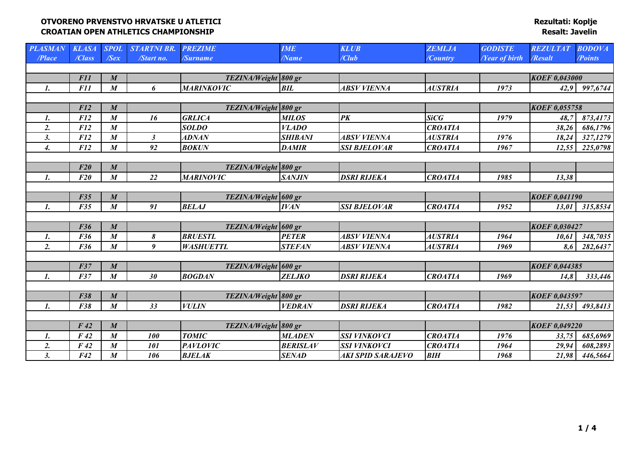| <b>PLASMAN</b>   | <b>KLASA</b>    | <b>SPOL</b>      | <b>STARTNI BR.</b> | <b>PREZIME</b>       | <b>IME</b>      | <b>KLUB</b>              | <b>ZEMLJA</b>  | <b>GODISTE</b>              | <b>REZULTAT</b>      | <b>BODOVA</b> |
|------------------|-----------------|------------------|--------------------|----------------------|-----------------|--------------------------|----------------|-----------------------------|----------------------|---------------|
| /Place           | /Class          | $\sqrt{Sex}$     | /Start no.         | /Surname             | $\sqrt{Name}$   | /Club                    | /Country       | <b><i>Near of birth</i></b> | /Resalt              | /Points       |
|                  |                 |                  |                    |                      |                 |                          |                |                             |                      |               |
|                  | <b>F11</b>      | $\boldsymbol{M}$ |                    | TEZINA/Weight 800 gr |                 |                          |                |                             | <b>KOEF 0,043000</b> |               |
| 1.               | <b>F11</b>      | $\boldsymbol{M}$ | 6                  | <b>MARINKOVIC</b>    | BIL             | <b>ABSV VIENNA</b>       | <b>AUSTRIA</b> | 1973                        | 42,9                 | 997,6744      |
|                  |                 |                  |                    |                      |                 |                          |                |                             |                      |               |
|                  | F12             | $\boldsymbol{M}$ |                    | TEZINA/Weight 800 gr |                 |                          |                |                             | <b>KOEF 0,055758</b> |               |
| 1.               | F12             | $\boldsymbol{M}$ | 16                 | <b>GRLICA</b>        | <b>MILOS</b>    | PK                       | <b>SiCG</b>    | 1979                        | 48,7                 | 873,4173      |
| 2.               | F12             | $\boldsymbol{M}$ |                    | <b>SOLDO</b>         | <b>VLADO</b>    |                          | <b>CROATIA</b> |                             | 38,26                | 686,1796      |
| 3.               | F12             | $\boldsymbol{M}$ | $\mathfrak{z}$     | <i><b>ADNAN</b></i>  | <b>SHIBANI</b>  | <b>ABSV VIENNA</b>       | <b>AUSTRIA</b> | 1976                        | 18,24                | 327,1279      |
| 4.               | F12             | $\boldsymbol{M}$ | 92                 | <b>BOKUN</b>         | <b>DAMIR</b>    | <b>SSI BJELOVAR</b>      | <b>CROATIA</b> | 1967                        | 12,55                | 225,0798      |
|                  |                 |                  |                    |                      |                 |                          |                |                             |                      |               |
|                  | F20             | $\boldsymbol{M}$ |                    | TEZINA/Weight 800 gr |                 |                          |                |                             |                      |               |
| 1.               | F20             | $\boldsymbol{M}$ | 22                 | <b>MARINOVIC</b>     | <b>SANJIN</b>   | <b>DSRI RIJEKA</b>       | <b>CROATIA</b> | 1985                        | 13,38                |               |
|                  |                 |                  |                    |                      |                 |                          |                |                             |                      |               |
|                  | F35             | $\boldsymbol{M}$ |                    | TEZINA/Weight 600 gr |                 |                          |                |                             | <b>KOEF 0,041190</b> |               |
| 1.               | F35             | $\boldsymbol{M}$ | 91                 | <b>BELAJ</b>         | <b>IVAN</b>     | <b>SSI BJELOVAR</b>      | <b>CROATIA</b> | 1952                        | 13,01                | 315,8534      |
|                  |                 |                  |                    |                      |                 |                          |                |                             |                      |               |
|                  | <b>F36</b>      | $\boldsymbol{M}$ |                    | TEZINA/Weight 600 gr |                 |                          |                |                             | <b>KOEF 0,030427</b> |               |
| 1.               | F36             | $\boldsymbol{M}$ | 8                  | <b>BRUESTL</b>       | <b>PETER</b>    | <b>ABSV VIENNA</b>       | <b>AUSTRIA</b> | 1964                        | 10,61                | 348,7035      |
| 2.               | F36             | $\boldsymbol{M}$ | 9                  | <b>WASHUETTL</b>     | <b>STEFAN</b>   | <b>ABSV VIENNA</b>       | <b>AUSTRIA</b> | 1969                        | 8,6                  | 282,6437      |
|                  |                 |                  |                    |                      |                 |                          |                |                             |                      |               |
|                  | F37             | $\boldsymbol{M}$ |                    | TEZINA/Weight 600 gr |                 |                          |                |                             | <b>KOEF 0,044385</b> |               |
| $\mathbf{1}$ .   | F37             | $\boldsymbol{M}$ | 30                 | <b>BOGDAN</b>        | <b>ZELJKO</b>   | <b>DSRI RIJEKA</b>       | <b>CROATIA</b> | 1969                        | 14,8                 | 333,446       |
|                  |                 |                  |                    |                      |                 |                          |                |                             |                      |               |
|                  | <b>F38</b>      | $\boldsymbol{M}$ |                    | TEZINA/Weight 800 gr |                 |                          |                |                             | <b>KOEF 0,043597</b> |               |
| $\mathbf{1}$ .   | F38             | $\boldsymbol{M}$ | 33                 | <b>VULIN</b>         | <b>VEDRAN</b>   | <b>DSRI RIJEKA</b>       | <b>CROATIA</b> | 1982                        | 21,53                | 493,8413      |
|                  |                 |                  |                    |                      |                 |                          |                |                             |                      |               |
|                  | $F_{42}$        | $\boldsymbol{M}$ |                    | TEZINA/Weight 800 gr |                 |                          |                |                             | <b>KOEF 0,049220</b> |               |
| 1.               | F42             | $\boldsymbol{M}$ | 100                | <b>TOMIC</b>         | <b>MLADEN</b>   | <b>SSI VINKOVCI</b>      | <b>CROATIA</b> | 1976                        | 33,75                | 685,6969      |
| $\overline{2}$ . | F <sub>42</sub> | $\boldsymbol{M}$ | 101                | <b>PAVLOVIC</b>      | <b>BERISLAV</b> | <b>SSI VINKOVCI</b>      | <b>CROATIA</b> | 1964                        | 29,94                | 608,2893      |
| 3.               | F42             | $\boldsymbol{M}$ | 106                | <b>BJELAK</b>        | <b>SENAD</b>    | <b>AKI SPID SARAJEVO</b> | <b>BIH</b>     | 1968                        | 21,98                | 446,5664      |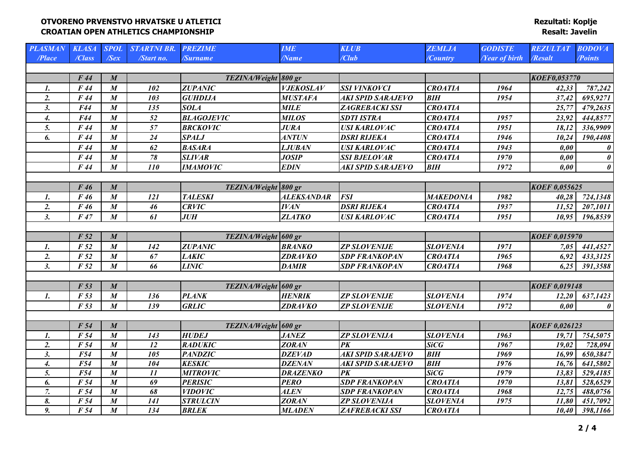| <b>PLASMAN</b>     | <b>KLASA</b>    | <b>SPOL</b>      | <b>STARTNI BR.</b> | <b>PREZIME</b>       | <b>IME</b>        | <b>KLUB</b>              | <b>ZEMLJA</b>    | <b>GODISTE</b>       | <b>REZULTAT</b>      | <b>BODOVA</b>         |
|--------------------|-----------------|------------------|--------------------|----------------------|-------------------|--------------------------|------------------|----------------------|----------------------|-----------------------|
| /Place             | /Class          | $\sqrt{Sex}$     | /Start no.         | /Surname             | <b>Name</b>       | /Club                    | /Country         | <b>Year of birth</b> | /Resalt              | <b>Points</b>         |
|                    |                 |                  |                    |                      |                   |                          |                  |                      |                      |                       |
|                    | F44             | $\boldsymbol{M}$ |                    | TEZINA/Weight 800 gr |                   |                          |                  |                      | <b>KOEF0,053770</b>  |                       |
| 1.                 | F44             | $\boldsymbol{M}$ | 102                | <b>ZUPANIC</b>       | <b>VJEKOSLAV</b>  | <b>SSI VINKOVCI</b>      | <b>CROATIA</b>   | 1964                 | 42,33                | 787,242               |
| 2.                 | F44             | $\boldsymbol{M}$ | 103                | <b>GUHDIJA</b>       | <b>MUSTAFA</b>    | AKI SPID SARAJEVO        | <b>BIH</b>       | 1954                 | 37,42                | 695,9271              |
| 3.                 | F44             | $\boldsymbol{M}$ | 135                | <b>SOLA</b>          | <b>MILE</b>       | ZAGREBACKI SSI           | <b>CROATIA</b>   |                      | 25,77                | 479,2635              |
| 4.                 | F44             | $\boldsymbol{M}$ | 52                 | <b>BLAGOJEVIC</b>    | <b>MILOS</b>      | <b>SDTI ISTRA</b>        | <b>CROATIA</b>   | 1957                 | 23,92                | 444,8577              |
| 5.                 | F44             | $\boldsymbol{M}$ | 57                 | <b>BRCKOVIC</b>      | <b>JURA</b>       | <b>USI KARLOVAC</b>      | <b>CROATIA</b>   | 1951                 | 18,12                | 336,9909              |
| 6.                 | F44             | $\boldsymbol{M}$ | 24                 | <b>SPALJ</b>         | <b>ANTUN</b>      | <b>DSRI RIJEKA</b>       | <b>CROATIA</b>   | 1946                 | 10,24                | 190,4408              |
|                    | F 44            | $\boldsymbol{M}$ | 62                 | <b>BASARA</b>        | <b>LJUBAN</b>     | <b>USI KARLOVAC</b>      | <b>CROATIA</b>   | 1943                 | 0,00                 | 0                     |
|                    | F44             | $\boldsymbol{M}$ | 78                 | <b>SLIVAR</b>        | <b>JOSIP</b>      | <b>SSI BJELOVAR</b>      | <b>CROATIA</b>   | 1970                 | 0,00                 | $\pmb{\theta}$        |
|                    | F44             | $\boldsymbol{M}$ | 110                | <b>IMAMOVIC</b>      | <b>EDIN</b>       | AKI SPID SARAJEVO        | <b>BIH</b>       | 1972                 | 0,00                 | $\boldsymbol{\theta}$ |
|                    |                 |                  |                    |                      |                   |                          |                  |                      |                      |                       |
|                    | F46             | $\boldsymbol{M}$ |                    | TEZINA/Weight 800 gr |                   |                          |                  |                      | <b>KOEF 0,055625</b> |                       |
| 1.                 | F46             | $\boldsymbol{M}$ | 121                | <b>TALESKI</b>       | <b>ALEKSANDAR</b> | <b>FSI</b>               | <b>MAKEDONIA</b> | 1982                 | 40,28                | 724,1348              |
| 2.                 | F46             | $\boldsymbol{M}$ | 46                 | <b>CRVIC</b>         | <b>IVAN</b>       | <b>DSRI RIJEKA</b>       | <b>CROATIA</b>   | 1937                 | 11,52                | 207,1011              |
| 3.                 | F47             | $\boldsymbol{M}$ | 61                 | <b>JUH</b>           | <b>ZLATKO</b>     | <b>USI KARLOVAC</b>      | <b>CROATIA</b>   | 1951                 | 10,95                | 196,8539              |
|                    |                 |                  |                    |                      |                   |                          |                  |                      |                      |                       |
|                    | F <sub>52</sub> | $\boldsymbol{M}$ |                    | TEZINA/Weight 600 gr |                   |                          |                  |                      | <b>KOEF 0,015970</b> |                       |
| 1.                 | F <sub>52</sub> | $\boldsymbol{M}$ | 142                | <b>ZUPANIC</b>       | <b>BRANKO</b>     | <b>ZP SLOVENIJE</b>      | <b>SLOVENIA</b>  | 1971                 | 7,05                 | 441,4527              |
| $\overline{2}$ .   | F <sub>52</sub> | $\boldsymbol{M}$ | 67                 | <b>LAKIC</b>         | <b>ZDRAVKO</b>    | <b>SDP FRANKOPAN</b>     | <b>CROATIA</b>   | 1965                 | 6,92                 | 433,3125              |
| 3.                 | F <sub>52</sub> | $\boldsymbol{M}$ | 66                 | <b>LINIC</b>         | <b>DAMIR</b>      | <b>SDP FRANKOPAN</b>     | <b>CROATIA</b>   | 1968                 | 6,25                 | 391,3588              |
|                    |                 |                  |                    |                      |                   |                          |                  |                      |                      |                       |
|                    | F <sub>53</sub> | $\boldsymbol{M}$ |                    | TEZINA/Weight 600 gr |                   |                          |                  |                      | <b>KOEF 0,019148</b> |                       |
| $\boldsymbol{l}$ . | F 53            | $\boldsymbol{M}$ | 136                | <b>PLANK</b>         | <b>HENRIK</b>     | <b>ZP SLOVENIJE</b>      | <b>SLOVENIA</b>  | 1974                 | 12,20                | 637,1423              |
|                    | F <sub>53</sub> | $\boldsymbol{M}$ | 139                | <b>GRLIC</b>         | <b>ZDRAVKO</b>    | <b>ZP SLOVENIJE</b>      | <b>SLOVENIA</b>  | 1972                 | 0.00                 | $\theta$              |
|                    |                 |                  |                    |                      |                   |                          |                  |                      |                      |                       |
|                    | F 54            | $\boldsymbol{M}$ |                    | TEZINA/Weight 600 gr |                   |                          |                  |                      | KOEF 0,026123        |                       |
| 1.                 | F 54            | $\boldsymbol{M}$ | 143                | <b>HUDEJ</b>         | <b>JANEZ</b>      | <b>ZP SLOVENIJA</b>      | <b>SLOVENIA</b>  | 1963                 | 19,71                | 754,5075              |
| 2.                 | F 54            | $\boldsymbol{M}$ | 12                 | <b>RADUKIC</b>       | <b>ZORAN</b>      | PK                       | <b>SiCG</b>      | 1967                 | 19,02                | 728,094               |
| 3.                 | <b>F54</b>      | $\boldsymbol{M}$ | 105                | <b>PANDZIC</b>       | <b>DZEVAD</b>     | <b>AKI SPID SARAJEVO</b> | <b>BIH</b>       | 1969                 | 16,99                | 650,3847              |
| 4.                 | F54             | $\boldsymbol{M}$ | 104                | <b>KESKIC</b>        | <b>DZENAN</b>     | <b>AKI SPID SARAJEVO</b> | <b>BIH</b>       | 1976                 | 16,76                | 641,5802              |
| 5.                 | F54             | $\boldsymbol{M}$ | 11                 | <b>MITROVIC</b>      | <b>DRAZENKO</b>   | $\overline{PK}$          | <b>SiCG</b>      | 1979                 | 13,83                | 529,4185              |
| 6.                 | F 54            | $\boldsymbol{M}$ | 69                 | <b>PERISIC</b>       | <b>PERO</b>       | <b>SDP FRANKOPAN</b>     | <b>CROATIA</b>   | 1970                 | 13,81                | 528,6529              |
| 7.                 | F 54            | $\boldsymbol{M}$ | 68                 | <b>VIDOVIC</b>       | <b>ALEN</b>       | <b>SDP FRANKOPAN</b>     | <b>CROATIA</b>   | 1968                 | 12,75                | 488,0756              |
| 8.                 | F 54            | $\boldsymbol{M}$ | 141                | <b>STRULCIN</b>      | <b>ZORAN</b>      | <b>ZP SLOVENIJA</b>      | <b>SLOVENIA</b>  | 1975                 | 11,80                | 451,7092              |
| 9.                 | F 54            | $\boldsymbol{M}$ | 134                | <b>BRLEK</b>         | <b>MLADEN</b>     | <b>ZAFREBACKI SSI</b>    | <b>CROATIA</b>   |                      | 10,40                | 398,1166              |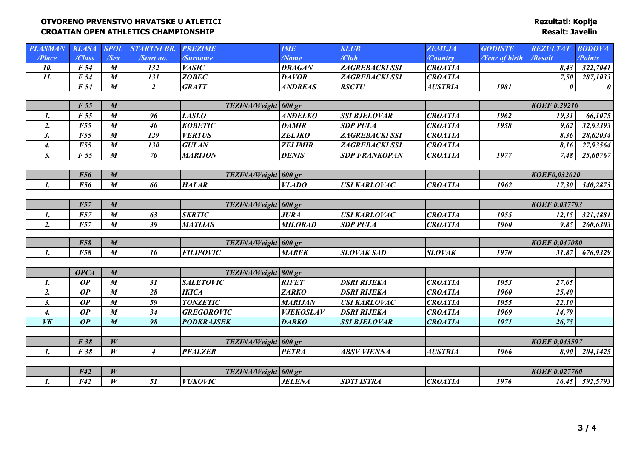| <b>PLASMAN</b>     | <b>KLASA</b> | <b>SPOL</b>      | <b>STARTNI BR.</b> | <b>PREZIME</b>       | <b>IME</b>       | <b>KLUB</b>           | <b>ZEMLJA</b>  | <b>GODISTE</b>              | <b>REZULTAT</b>       | <b>BODOVA</b>         |
|--------------------|--------------|------------------|--------------------|----------------------|------------------|-----------------------|----------------|-----------------------------|-----------------------|-----------------------|
| /Place             | /Class       | $\sqrt{Sex}$     | /Start no.         | <b>Surname</b>       | <b>Name</b>      | /Club                 | /Country       | <b><i>Near of birth</i></b> | /Resalt               | <b>Points</b>         |
| 10.                | F 54         | $\boldsymbol{M}$ | 132                | <b>VASIC</b>         | <b>DRAGAN</b>    | ZAGREBACKI SSI        | <b>CROATIA</b> |                             | 8,43                  | 322,7041              |
| $\overline{11}$ .  | F 54         | $\boldsymbol{M}$ | 131                | <b>ZOBEC</b>         | <b>DAVOR</b>     | ZAGREBACKI SSI        | <b>CROATIA</b> |                             | 7,50                  | 287,1033              |
|                    | F 54         | $\boldsymbol{M}$ | $\overline{2}$     | <b>GRATT</b>         | <b>ANDREAS</b>   | <b>RSCTU</b>          | <b>AUSTRIA</b> | 1981                        | $\boldsymbol{\theta}$ | $\boldsymbol{\theta}$ |
|                    |              |                  |                    |                      |                  |                       |                |                             |                       |                       |
|                    | F 55         | $\boldsymbol{M}$ |                    | TEZINA/Weight 600 gr |                  |                       |                |                             | <b>KOEF 0,29210</b>   |                       |
| $\mathbf{I}$ .     | F 55         | $\boldsymbol{M}$ | 96                 | <b>LASLO</b>         | <b>ANDELKO</b>   | <b>SSI BJELOVAR</b>   | <b>CROATIA</b> | 1962                        | 19,31                 | 66,1075               |
| 2.                 | <b>F55</b>   | $\boldsymbol{M}$ | 40                 | <b>KOBETIC</b>       | <b>DAMIR</b>     | <b>SDP PULA</b>       | <b>CROATIA</b> | 1958                        | 9,62                  | 32,93393              |
| 3.                 | <b>F55</b>   | $\boldsymbol{M}$ | 129                | <b>VERTUS</b>        | <b>ZELJKO</b>    | ZAGREBACKI SSI        | <b>CROATIA</b> |                             | 8,36                  | 28,62034              |
| $\boldsymbol{4}$ . | <b>F55</b>   | $\boldsymbol{M}$ | 130                | <b>GULAN</b>         | <b>ZELIMIR</b>   | <b>ZAGREBACKI SSI</b> | <b>CROATIA</b> |                             | 8,16                  | 27,93564              |
| 5.                 | F 55         | $\boldsymbol{M}$ | 70                 | <b>MARIJON</b>       | <b>DENIS</b>     | <b>SDP FRANKOPAN</b>  | <b>CROATIA</b> | 1977                        | 7,48                  | 25,60767              |
|                    |              |                  |                    |                      |                  |                       |                |                             |                       |                       |
|                    | <b>F56</b>   | $\boldsymbol{M}$ |                    | TEZINA/Weight 600 gr |                  |                       |                |                             | KOEF0,032020          |                       |
| 1.                 | F56          | $\boldsymbol{M}$ | 60                 | <b>HALAR</b>         | <b>VLADO</b>     | <b>USI KARLOVAC</b>   | <b>CROATIA</b> | 1962                        | 17,30                 | 540,2873              |
|                    |              |                  |                    |                      |                  |                       |                |                             |                       |                       |
|                    | F57          | $\boldsymbol{M}$ |                    | TEZINA/Weight 600 gr |                  |                       |                |                             | <b>KOEF 0,037793</b>  |                       |
| 1.                 | <b>F57</b>   | $\boldsymbol{M}$ | 63                 | <b>SKRTIC</b>        | <b>JURA</b>      | <b>USI KARLOVAC</b>   | <b>CROATIA</b> | 1955                        | 12,15                 | 321,4881              |
| 2.                 | F57          | $\boldsymbol{M}$ | 39                 | <b>MATIJAS</b>       | <b>MILORAD</b>   | <b>SDP PULA</b>       | <b>CROATIA</b> | 1960                        | 9,85                  | 260,6303              |
|                    |              |                  |                    |                      |                  |                       |                |                             |                       |                       |
|                    | <b>F58</b>   | $\boldsymbol{M}$ |                    | TEZINA/Weight 600 gr |                  |                       |                |                             | <b>KOEF 0,047080</b>  |                       |
| $\mathbf{I}$ .     | <b>F58</b>   | $\boldsymbol{M}$ | 10                 | <b>FILIPOVIC</b>     | <b>MAREK</b>     | <b>SLOVAK SAD</b>     | <b>SLOVAK</b>  | 1970                        | 31,87                 | 676,9329              |
|                    |              |                  |                    |                      |                  |                       |                |                             |                       |                       |
|                    | <b>OPCA</b>  | $\boldsymbol{M}$ |                    | TEZINA/Weight 800 gr |                  |                       |                |                             |                       |                       |
| 1.                 | OP           | $\boldsymbol{M}$ | 31                 | <b>SALETOVIC</b>     | <b>RIFET</b>     | <b>DSRI RIJEKA</b>    | <b>CROATIA</b> | 1953                        | 27,65                 |                       |
| 2.                 | OP           | $\boldsymbol{M}$ | 28                 | <b>IKICA</b>         | <b>ZARKO</b>     | <b>DSRI RIJEKA</b>    | <b>CROATIA</b> | 1960                        | 25,40                 |                       |
| 3.                 | OP           | $\boldsymbol{M}$ | 59                 | <b>TONZETIC</b>      | <b>MARIJAN</b>   | <b>USI KARLOVAC</b>   | <b>CROATIA</b> | 1955                        | 22,10                 |                       |
| 4.                 | OP           | $\boldsymbol{M}$ | 34                 | <b>GREGOROVIC</b>    | <b>VJEKOSLAV</b> | <b>DSRI RIJEKA</b>    | <b>CROATIA</b> | 1969                        | 14,79                 |                       |
| $V\mathbf{K}$      | OP           | $\boldsymbol{M}$ | 98                 | <b>PODKRAJSEK</b>    | <b>DARKO</b>     | <b>SSI BJELOVAR</b>   | <b>CROATIA</b> | 1971                        | 26,75                 |                       |
|                    |              |                  |                    |                      |                  |                       |                |                             |                       |                       |
|                    | F38          | W                |                    | TEZINA/Weight 600 gr |                  |                       |                |                             | <b>KOEF 0,043597</b>  |                       |
| 1.                 | F 38         | W                | $\overline{4}$     | <b>PFALZER</b>       | <b>PETRA</b>     | <b>ABSV VIENNA</b>    | <b>AUSTRIA</b> | 1966                        | 8,90                  | 204,1425              |
|                    |              |                  |                    |                      |                  |                       |                |                             |                       |                       |
|                    | F42          | W                |                    | TEZINA/Weight 600 gr |                  |                       |                |                             | <b>KOEF 0,027760</b>  |                       |
| $\mathbf{I}$ .     | F42          | W                | 51                 | <b>VUKOVIC</b>       | <b>JELENA</b>    | <b>SDTI ISTRA</b>     | <b>CROATIA</b> | 1976                        |                       | 16,45 592,5793        |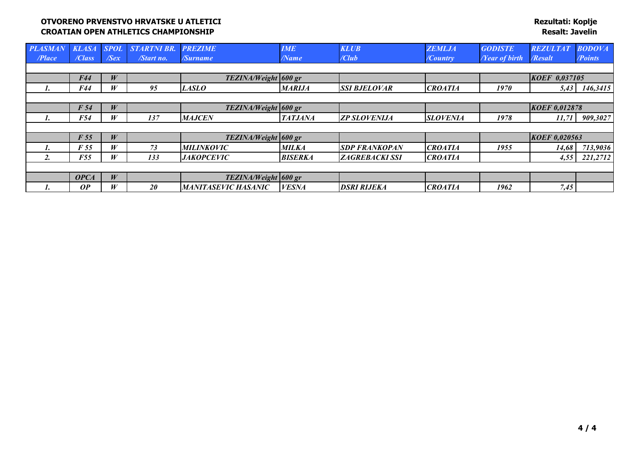| <b>PLASM</b> | <b>KLASA</b>    | <b>SPOL</b>   | <b>STARTNI BR.</b> | <b>PREZIME</b>       | <b>IME</b>     | <b>KLUB</b>           | <b>ZEMLJA</b>   | <b>GODISTE</b>              | <b>REZULTAT</b>      | <b>BODOVA</b> |
|--------------|-----------------|---------------|--------------------|----------------------|----------------|-----------------------|-----------------|-----------------------------|----------------------|---------------|
| /Place       | /Class          | $\sqrt{S}e x$ | /Start no.         | <b>Surname</b>       | /Name          | / <i>Club</i>         | /Country        | <b><i>Near of birth</i></b> | /Resalt              | /Points       |
|              |                 |               |                    |                      |                |                       |                 |                             |                      |               |
|              | F44             | W             |                    | TEZINA/Weight 600 gr |                |                       |                 |                             | KOEF 0.037105        |               |
|              | F44             | W             | 95                 | <b>LASLO</b>         | <b>MARIJA</b>  | <b>SSI BJELOVAR</b>   | <b>CROATIA</b>  | 1970                        | 5,43                 | 146,3415      |
|              |                 |               |                    |                      |                |                       |                 |                             |                      |               |
|              | F <sub>54</sub> | W             |                    | TEZINA/Weight 600 gr |                |                       |                 |                             | <b>KOEF 0.012878</b> |               |
| ı.           | <b>F54</b>      | W             | 137                | <b>MAJCEN</b>        | <b>TATJANA</b> | <b>ZP SLOVENIJA</b>   | <b>SLOVENIA</b> | 1978                        | 11,71                | 909,3027      |
|              |                 |               |                    |                      |                |                       |                 |                             |                      |               |
|              | F 55            | W             |                    | TEZINA/Weight 600 gr |                |                       |                 |                             | <b>KOEF 0,020563</b> |               |
|              | F 55            | W             | 73                 | <b>MILINKOVIC</b>    | <b>MILKA</b>   | <b>SDP FRANKOPAN</b>  | <b>CROATIA</b>  | 1955                        | 14,68                | 713,9036      |
| 2.           | <b>F55</b>      | W             | 133                | <b>JAKOPCEVIC</b>    | <b>BISERKA</b> | <b>ZAGREBACKI SSI</b> | <b>CROATIA</b>  |                             | 4,55                 | 221,2712      |
|              |                 |               |                    |                      |                |                       |                 |                             |                      |               |
|              | <b>OPCA</b>     | W             |                    | TEZINA/Weight 600 gr |                |                       |                 |                             |                      |               |
|              | OP              | W             | <b>20</b>          | MANITASEVIC HASANIC  | <b>VESNA</b>   | <b>DSRI RIJEKA</b>    | <b>CROATIA</b>  | 1962                        | 7,45                 |               |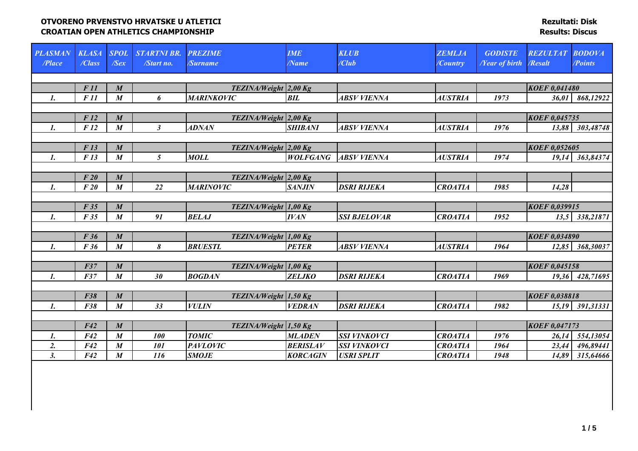| <b>PLASMAN</b><br>/Place | <b>KLASA</b><br>/Class | <b>SPOL</b><br>$\sqrt{Sex}$ | <b>STARTNI BR.</b><br>/Start no. | <b>PREZIME</b><br>/Surname | <b>IME</b><br>$\sqrt{Name}$ | <b>KLUB</b><br>/Club | <b>ZEMLJA</b><br>/Country | <b>GODISTE</b><br><b><i>Near of birth</i></b> | <b>REZULTAT</b><br>/Resalt | <b>BODOVA</b><br><b>Points</b> |
|--------------------------|------------------------|-----------------------------|----------------------------------|----------------------------|-----------------------------|----------------------|---------------------------|-----------------------------------------------|----------------------------|--------------------------------|
|                          |                        |                             |                                  |                            |                             |                      |                           |                                               |                            |                                |
|                          | F11                    | $\boldsymbol{M}$            |                                  | TEZINA/Weight 2,00 Kg      |                             |                      |                           |                                               | <b>KOEF 0,041480</b>       |                                |
| 1.                       | F 11                   | $\boldsymbol{M}$            | 6                                | <b>MARINKOVIC</b>          | BIL                         | <b>ABSV VIENNA</b>   | <b>AUSTRIA</b>            | 1973                                          | 36,01                      | 868,12922                      |
|                          |                        |                             |                                  |                            |                             |                      |                           |                                               |                            |                                |
|                          | F12                    | $\boldsymbol{M}$            |                                  | TEZINA/Weight 2,00 Kg      |                             |                      |                           |                                               | <b>KOEF 0,045735</b>       |                                |
| $\mathbf{I}$ .           | F12                    | $\boldsymbol{M}$            | $\mathfrak{Z}$                   | <b>ADNAN</b>               | <b>SHIBANI</b>              | <b>ABSV VIENNA</b>   | <b>AUSTRIA</b>            | 1976                                          |                            | 13,88 303,48748                |
|                          |                        |                             |                                  |                            |                             |                      |                           |                                               |                            |                                |
|                          | F13                    | $\boldsymbol{M}$            |                                  | TEZINA/Weight 2,00 Kg      |                             |                      |                           |                                               | <b>KOEF 0,052605</b>       |                                |
| $\mathbf{I}$ .           | F13                    | $\boldsymbol{M}$            | $\mathfrak{I}$                   | <b>MOLL</b>                | <b>WOLFGANG</b>             | <b>ABSV VIENNA</b>   | <b>AUSTRIA</b>            | 1974                                          |                            | 19,14 363,84374                |
|                          |                        |                             |                                  |                            |                             |                      |                           |                                               |                            |                                |
|                          | F20                    | $\boldsymbol{M}$            |                                  | TEZINA/Weight 2,00 Kg      |                             |                      |                           |                                               |                            |                                |
| 1.                       | F20                    | $\boldsymbol{M}$            | $22\,$                           | <b>MARINOVIC</b>           | <b>SANJIN</b>               | <b>DSRI RIJEKA</b>   | <b>CROATIA</b>            | 1985                                          | 14,28                      |                                |
|                          | F35                    | $\boldsymbol{M}$            |                                  | TEZINA/Weight 1,00 Kg      |                             |                      |                           |                                               | <b>KOEF 0,039915</b>       |                                |
| $\mathbf{I}$ .           | F35                    | $\boldsymbol{M}$            | 91                               | <b>BELAJ</b>               | <b>IVAN</b>                 | <b>SSI BJELOVAR</b>  | <b>CROATIA</b>            | 1952                                          |                            | 13,5 338,21871                 |
|                          |                        |                             |                                  |                            |                             |                      |                           |                                               |                            |                                |
|                          | F 36                   | $\boldsymbol{M}$            |                                  | TEZINA/Weight 1,00 Kg      |                             |                      |                           |                                               | <b>KOEF 0,034890</b>       |                                |
| $\mathbf{I}$ .           | F 36                   | $\boldsymbol{M}$            | 8                                | <b>BRUESTL</b>             | <b>PETER</b>                | <b>ABSV VIENNA</b>   | <b>AUSTRIA</b>            | 1964                                          |                            | 12,85 368,30037                |
|                          |                        |                             |                                  |                            |                             |                      |                           |                                               |                            |                                |
|                          | F37                    | $\boldsymbol{M}$            |                                  | TEZINA/Weight 1,00 Kg      |                             |                      |                           |                                               | <b>KOEF 0,045158</b>       |                                |
| $\mathbf{I}$ .           | F37                    | $\boldsymbol{M}$            | 30                               | <b>BOGDAN</b>              | <b>ZELJKO</b>               | <b>DSRI RIJEKA</b>   | <b>CROATIA</b>            | 1969                                          |                            | 19,36 428,71695                |
|                          |                        |                             |                                  |                            |                             |                      |                           |                                               |                            |                                |
|                          | <b>F38</b>             | $\boldsymbol{M}$            |                                  | TEZINA/Weight 1,50 Kg      |                             |                      |                           |                                               | <b>KOEF 0.038818</b>       |                                |
| 1.                       | F38                    | $\boldsymbol{M}$            | 33                               | <b>VULIN</b>               | <b>VEDRAN</b>               | <b>DSRI RIJEKA</b>   | <b>CROATIA</b>            | 1982                                          |                            | 15,19 391,31331                |
|                          |                        |                             |                                  |                            |                             |                      |                           |                                               |                            |                                |
|                          | F42                    | $\boldsymbol{M}$            |                                  | TEZINA/Weight 1,50 Kg      |                             |                      |                           |                                               | <b>KOEF 0,047173</b>       |                                |
| 1.                       | F42                    | $\boldsymbol{M}$            | 100                              | <b>TOMIC</b>               | <b>MLADEN</b>               | <b>SSI VINKOVCI</b>  | <b>CROATIA</b>            | 1976                                          | 26,14                      | 554,13054                      |
| 2.                       | F42                    | $\boldsymbol{M}$            | <b>101</b>                       | <b>PAVLOVIC</b>            | <b>BERISLAV</b>             | <b>SSI VINKOVCI</b>  | <b>CROATIA</b>            | 1964                                          | 23,44                      | 496,89441                      |
| 3.                       | F42                    | $\boldsymbol{M}$            | 116                              | <b>SMOJE</b>               | <b>KORCAGIN</b>             | <b>USRI SPLIT</b>    | <b>CROATIA</b>            | 1948                                          | 14,89                      | 315,64666                      |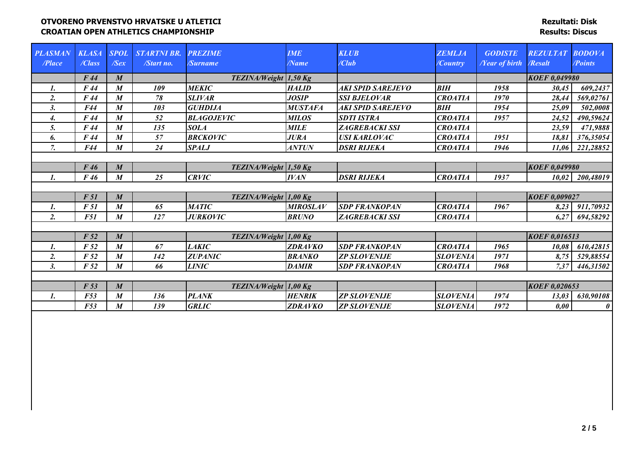| <b>PLASMAN</b><br>/Place | <b>KLASA</b><br>/Class | <b>SPOL</b><br>$\sqrt{Sex}$ | <b>STARTNI BR.</b><br>/Start no. | <b>PREZIME</b><br>/Surname | <b>IME</b><br>/Name | <b>KLUB</b><br>$\angle$ Club | <b>ZEMLJA</b><br>/Country | <b>GODISTE</b><br><b><i>Near of birth</i></b> | <b>REZULTAT</b><br><b>Resalt</b> | <b>BODOVA</b><br>/Points |
|--------------------------|------------------------|-----------------------------|----------------------------------|----------------------------|---------------------|------------------------------|---------------------------|-----------------------------------------------|----------------------------------|--------------------------|
|                          | F44                    | $\boldsymbol{M}$            |                                  | TEZINA/Weight 1,50 Kg      |                     |                              |                           |                                               | <b>KOEF 0,049980</b>             |                          |
| 1.                       | F44                    | $\boldsymbol{M}$            | 109                              | <b>MEKIC</b>               | <b>HALID</b>        | AKI SPID SAREJEVO            | <b>BIH</b>                | 1958                                          | 30,45                            | 609,2437                 |
| $\overline{2}$ .         | F44                    | $\boldsymbol{M}$            | 78                               | <b>SLIVAR</b>              | <b>JOSIP</b>        | <b>SSI BJELOVAR</b>          | <b>CROATIA</b>            | 1970                                          | 28,44                            | 569,02761                |
| 3.                       | F44                    | $\boldsymbol{M}$            | 103                              | <b>GUHDIJA</b>             | <b>MUSTAFA</b>      | AKI SPID SAREJEVO            | <b>BIH</b>                | 1954                                          | 25,09                            | 502,0008                 |
| 4.                       | F44                    | $\boldsymbol{M}$            | 52                               | <b>BLAGOJEVIC</b>          | <b>MILOS</b>        | <b>SDTI ISTRA</b>            | <b>CROATIA</b>            | 1957                                          | 24,52                            | 490,59624                |
| 5.                       | F44                    | $\boldsymbol{M}$            | 135                              | <b>SOLA</b>                | <b>MILE</b>         | <b>ZAGREBACKI SSI</b>        | <b>CROATIA</b>            |                                               | 23,59                            | 471,9888                 |
| 6.                       | F 44                   | $\boldsymbol{M}$            | 57                               | <b>BRCKOVIC</b>            | <b>JURA</b>         | <b>USI KARLOVAC</b>          | <b>CROATIA</b>            | 1951                                          | 18,81                            | 376,35054                |
| $\overline{7}$ .         | F44                    | $\boldsymbol{M}$            | 24                               | <b>SPALJ</b>               | <b>ANTUN</b>        | <b>DSRI RIJEKA</b>           | <b>CROATIA</b>            | 1946                                          | 11,06                            | 221,28852                |
|                          |                        |                             |                                  |                            |                     |                              |                           |                                               |                                  |                          |
|                          | F46                    | $\boldsymbol{M}$            |                                  | TEZINA/Weight 1,50 Kg      |                     |                              |                           |                                               | <b>KOEF 0,049980</b>             |                          |
| 1.                       | F 46                   | $\boldsymbol{M}$            | 25                               | <b>CRVIC</b>               | <b>IVAN</b>         | <b>DSRI RIJEKA</b>           | <b>CROATIA</b>            | 1937                                          | 10,02                            | 200,48019                |
|                          |                        |                             |                                  |                            |                     |                              |                           |                                               |                                  |                          |
|                          | F 51                   | $\boldsymbol{M}$            |                                  | TEZINA/Weight 1,00 Kg      |                     |                              |                           |                                               | <b>KOEF 0,009027</b>             |                          |
| 1.                       | F 51                   | $\boldsymbol{M}$            | 65                               | <b>MATIC</b>               | <b>MIROSLAV</b>     | <b>SDP FRANKOPAN</b>         | <b>CROATIA</b>            | 1967                                          | 8,23                             | 911,70932                |
| 2.                       | <b>F51</b>             | $\boldsymbol{M}$            | 127                              | <b>JURKOVIC</b>            | <b>BRUNO</b>        | <b>ZAGREBACKI SSI</b>        | <b>CROATIA</b>            |                                               | 6,27                             | 694,58292                |
|                          |                        |                             |                                  |                            |                     |                              |                           |                                               |                                  |                          |
|                          | F <sub>52</sub>        | $\boldsymbol{M}$            |                                  | TEZINA/Weight 1,00 Kg      |                     |                              |                           |                                               | <b>KOEF 0,016513</b>             |                          |
| 1.                       | F <sub>52</sub>        | $\boldsymbol{M}$            | 67                               | <b>LAKIC</b>               | <b>ZDRAVKO</b>      | <b>SDP FRANKOPAN</b>         | <b>CROATIA</b>            | 1965                                          | 10,08                            | 610,42815                |
| $\overline{2}$ .         | F <sub>52</sub>        | $\boldsymbol{M}$            | 142                              | <b>ZUPANIC</b>             | <b>BRANKO</b>       | <b>ZP SLOVENIJE</b>          | <b>SLOVENIA</b>           | 1971                                          | 8,75                             | 529,88554                |
| 3.                       | F <sub>52</sub>        | $\boldsymbol{M}$            | 66                               | <b>LINIC</b>               | <b>DAMIR</b>        | <b>SDP FRANKOPAN</b>         | <b>CROATIA</b>            | 1968                                          | 7,37                             | 446,31502                |
|                          |                        |                             |                                  |                            |                     |                              |                           |                                               |                                  |                          |
|                          | F <sub>53</sub>        | $\boldsymbol{M}$            |                                  | TEZINA/Weight 1,00 Kg      |                     |                              |                           |                                               | <b>KOEF 0,020653</b>             |                          |
| 1.                       | F53                    | $\boldsymbol{M}$            | 136                              | <b>PLANK</b>               | <b>HENRIK</b>       | <b>ZP SLOVENIJE</b>          | <b>SLOVENIA</b>           | 1974                                          | 13,03                            | 630,90108                |
|                          | F53                    | $\boldsymbol{M}$            | 139                              | <b>GRLIC</b>               | <b>ZDRAVKO</b>      | <b>ZP SLOVENIJE</b>          | <b>SLOVENIA</b>           | 1972                                          | 0,00                             | $\boldsymbol{\theta}$    |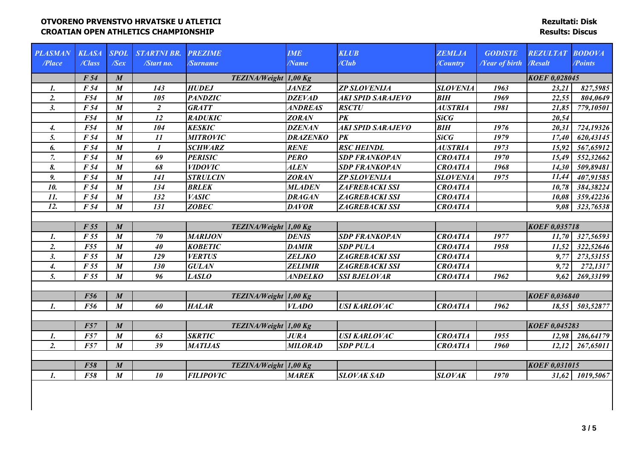| <b>PLASMAN</b>   | <b>KLASA</b>    | <b>SPOL</b>      | <b>STARTNI BR.</b> | <b>PREZIME</b>        | <b>IME</b>      | <b>KLUB</b>              | <b>ZEMLJA</b>   | <b>GODISTE</b>              | <b>REZULTAT</b>      | <b>BODOVA</b>   |
|------------------|-----------------|------------------|--------------------|-----------------------|-----------------|--------------------------|-----------------|-----------------------------|----------------------|-----------------|
| /Place           | /Class          | $\sqrt{Sex}$     | /Start no.         | /Surname              | /Name           | /Club                    | /Country        | <b><i>Near of birth</i></b> | /Resalt              | /Points         |
|                  |                 |                  |                    |                       |                 |                          |                 |                             |                      |                 |
|                  | F 54            | $\boldsymbol{M}$ |                    | TEZINA/Weight 1,00 Kg |                 |                          |                 |                             | <b>KOEF 0,028045</b> |                 |
| 1.               | F <sub>54</sub> | $\boldsymbol{M}$ | 143                | <b>HUDEJ</b>          | <b>JANEZ</b>    | <b>ZP SLOVENIJA</b>      | <b>SLOVENIA</b> | 1963                        | 23,21                | 827,5985        |
| 2.               | F54             | $\boldsymbol{M}$ | 105                | <b>PANDZIC</b>        | <b>DZEVAD</b>   | <b>AKI SPID SARAJEVO</b> | <b>BIH</b>      | 1969                        | 22,55                | 804,0649        |
| 3.               | F 54            | $\boldsymbol{M}$ | $\overline{2}$     | <b>GRATT</b>          | <b>ANDREAS</b>  | <b>RSCTU</b>             | <b>AUSTRIA</b>  | 1981                        | 21,85                | 779,10501       |
|                  | F54             | $\boldsymbol{M}$ | 12                 | <b>RADUKIC</b>        | <b>ZORAN</b>    | $\overline{PK}$          | SiCG            |                             | 20,54                |                 |
| 4.               | F54             | $\boldsymbol{M}$ | 104                | <b>KESKIC</b>         | <b>DZENAN</b>   | <b>AKI SPID SARAJEVO</b> | <b>BIH</b>      | 1976                        | 20,31                | 724,19326       |
| 5.               | F 54            | $\boldsymbol{M}$ | 11                 | <b>MITROVIC</b>       | <b>DRAZENKO</b> | $\overline{PK}$          | <b>SiCG</b>     | 1979                        | 17,40                | 620,43145       |
| 6.               | F 54            | $\boldsymbol{M}$ | $\mathbf{I}$       | <b>SCHWARZ</b>        | <b>RENE</b>     | <b>RSC HEINDL</b>        | <b>AUSTRIA</b>  | 1973                        | 15,92                | 567,65912       |
| $\overline{7}$ . | F 54            | $\boldsymbol{M}$ | 69                 | <b>PERISIC</b>        | <b>PERO</b>     | <b>SDP FRANKOPAN</b>     | <b>CROATIA</b>  | 1970                        | 15,49                | 552,32662       |
| 8.               | F 54            | $\boldsymbol{M}$ | 68                 | <b>VIDOVIC</b>        | <b>ALEN</b>     | <b>SDP FRANKOPAN</b>     | <b>CROATIA</b>  | 1968                        | 14,30                | 509,89481       |
| 9.               | F 54            | $\boldsymbol{M}$ | 141                | <b>STRULCIN</b>       | <b>ZORAN</b>    | <b>ZP SLOVENIJA</b>      | <b>SLOVENIA</b> | 1975                        | 11,44                | 407,91585       |
| 10.              | F 54            | $\boldsymbol{M}$ | 134                | <b>BRLEK</b>          | <b>MLADEN</b>   | <b>ZAFREBACKI SSI</b>    | <b>CROATIA</b>  |                             | 10,78                | 384,38224       |
| 11.              | F 54            | $\boldsymbol{M}$ | 132                | <b>VASIC</b>          | <b>DRAGAN</b>   | <b>ZAGREBACKI SSI</b>    | <b>CROATIA</b>  |                             | 10,08                | 359,42236       |
| 12.              | F 54            | $\boldsymbol{M}$ | 131                | <b>ZOBEC</b>          | <b>DAVOR</b>    | <b>ZAGREBACKI SSI</b>    | <b>CROATIA</b>  |                             | 9,08                 | 323,76538       |
|                  |                 |                  |                    |                       |                 |                          |                 |                             |                      |                 |
|                  | F 55            | $\boldsymbol{M}$ |                    | TEZINA/Weight 1,00 Kg |                 |                          |                 |                             | <b>KOEF 0,035718</b> |                 |
| $\mathbf{I}$ .   | F 55            | $\boldsymbol{M}$ | 70                 | <b>MARIJON</b>        | <b>DENIS</b>    | <b>SDP FRANKOPAN</b>     | <b>CROATIA</b>  | 1977                        | 11,70                | 327,56593       |
| 2.               | F55             | $\boldsymbol{M}$ | 40                 | <b>KOBETIC</b>        | <b>DAMIR</b>    | <b>SDP PULA</b>          | <b>CROATIA</b>  | 1958                        | 11,52                | 322,52646       |
| 3.               | F 55            | $\boldsymbol{M}$ | 129                | <b>VERTUS</b>         | <b>ZELJKO</b>   | <b>ZAGREBACKI SSI</b>    | <b>CROATIA</b>  |                             | 9,77                 | 273,53155       |
| $\overline{4}$ . | F 55            | $\boldsymbol{M}$ | 130                | <b>GULAN</b>          | <b>ZELIMIR</b>  | <b>ZAGREBACKI SSI</b>    | <b>CROATIA</b>  |                             | 9,72                 | 272,1317        |
| 5.               | F 55            | $\boldsymbol{M}$ | 96                 | <b>LASLO</b>          | <b>ANDELKO</b>  | <b>SSI BJELOVAR</b>      | <b>CROATIA</b>  | 1962                        | 9,62                 | 269,33199       |
|                  |                 |                  |                    |                       |                 |                          |                 |                             |                      |                 |
|                  | <b>F56</b>      | $\boldsymbol{M}$ |                    | TEZINA/Weight 1,00 Kg |                 |                          |                 |                             | <b>KOEF 0,036840</b> |                 |
| $\mathbf{1}$ .   | F56             | $\boldsymbol{M}$ | 60                 | <b>HALAR</b>          | <b>VLADO</b>    | <b>USI KARLOVAC</b>      | <b>CROATIA</b>  | 1962                        |                      | 18,55 503,52877 |
|                  |                 |                  |                    |                       |                 |                          |                 |                             |                      |                 |
|                  | F57             | $\boldsymbol{M}$ |                    | TEZINA/Weight 1,00 Kg |                 |                          |                 |                             | <b>KOEF 0,045283</b> |                 |
| $\mathbf{1}$ .   | F57             | $\boldsymbol{M}$ | 63                 | <b>SKRTIC</b>         | <b>JURA</b>     | <b>USI KARLOVAC</b>      | <b>CROATIA</b>  | 1955                        | 12,98                | 286,64179       |
| 2.               | F57             | $\boldsymbol{M}$ | 39                 | <b>MATIJAS</b>        | <b>MILORAD</b>  | <b>SDP PULA</b>          | <b>CROATIA</b>  | 1960                        | 12,12                | 267,65011       |
|                  |                 |                  |                    |                       |                 |                          |                 |                             |                      |                 |
|                  | <b>F58</b>      | $\boldsymbol{M}$ |                    | TEZINA/Weight 1,00 Kg |                 |                          |                 |                             | <b>KOEF 0,031015</b> |                 |
| 1.               | F58             | $\boldsymbol{M}$ | 10                 | <b>FILIPOVIC</b>      | <b>MAREK</b>    | <b>SLOVAK SAD</b>        | <b>SLOVAK</b>   | 1970                        | 31,62                | 1019,5067       |
|                  |                 |                  |                    |                       |                 |                          |                 |                             |                      |                 |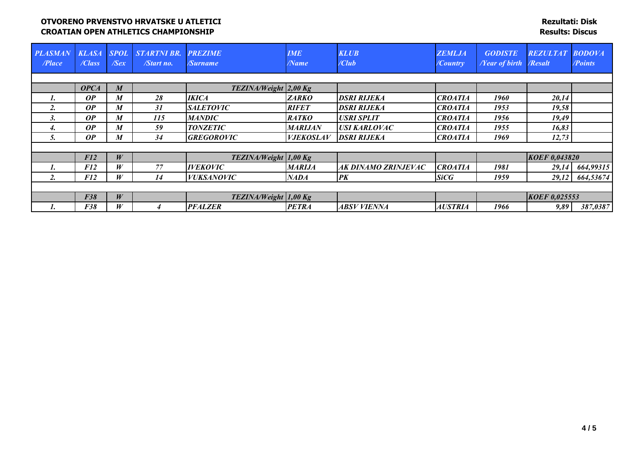| <b>PLASMAN</b><br>Place | <b>KLASA</b><br>/Class | <b>SPOL</b><br>$\sqrt{S}e x$ | <b>STARTNI BR.</b><br>/Start no. | <b>PREZIME</b><br>/Surname     | <b>IME</b><br>/Name | <b>KLUB</b><br>/Club | <b>ZEMLJA</b><br>/Country | <b>GODISTE</b><br><b><i>Near of birth</i></b> | <b>REZULTAT</b><br><b>Resalt</b> | BODOVA<br><b>Points</b> |
|-------------------------|------------------------|------------------------------|----------------------------------|--------------------------------|---------------------|----------------------|---------------------------|-----------------------------------------------|----------------------------------|-------------------------|
|                         |                        |                              |                                  |                                |                     |                      |                           |                                               |                                  |                         |
|                         | <b>OPCA</b>            | $\boldsymbol{M}$             |                                  | TEZINA/Weight 2,00 Kg          |                     |                      |                           |                                               |                                  |                         |
| 1.                      | OP                     | M                            | 28                               | <b>IKICA</b>                   | <b>ZARKO</b>        | <b>DSRI RIJEKA</b>   | <b>CROATIA</b>            | 1960                                          | 20,14                            |                         |
| $\overline{2}$ .        | OP                     | M                            | 31                               | <b>SALETOVIC</b>               | <b>RIFET</b>        | <b>DSRI RIJEKA</b>   | <b>CROATIA</b>            | 1953                                          | 19,58                            |                         |
| 5.                      | OP                     | M                            | <i>115</i>                       | MANDIC                         | <b>RATKO</b>        | <b>USRI SPLIT</b>    | <b>CROATIA</b>            | 1956                                          | 19,49                            |                         |
| 4.                      | OP                     | M                            | 59                               | <b>TONZETIC</b>                | <b>MARIJAN</b>      | <b>USI KARLOVAC</b>  | <b>CROATIA</b>            | 1955                                          | 16,83                            |                         |
| 5.                      | <b>OP</b>              | M                            | 34                               | <b>GREGOROVIC</b>              | <b>VJEKOSLAV</b>    | <b>DSRI RIJEKA</b>   | <b>CROATIA</b>            | 1969                                          | 12,73                            |                         |
|                         |                        |                              |                                  |                                |                     |                      |                           |                                               |                                  |                         |
|                         | F12                    | W                            |                                  | TEZINA/Weight 1,00 Kg          |                     |                      |                           |                                               | <b>KOEF 0,043820</b>             |                         |
|                         | <i>F12</i>             | W                            | 77                               | <b>IVEKOVIC</b>                | <b>MARIJA</b>       | AK DINAMO ZRINJEVAC  | <b>CROATIA</b>            | 1981                                          | 29,14                            | 664,99315               |
|                         | F12                    | W                            | 14                               | <b>VUKSANOVIC</b>              | <b>NADA</b>         | <b>PK</b>            | <b>SiCG</b>               | 1959                                          | 29,12                            | 664,53674               |
|                         |                        |                              |                                  |                                |                     |                      |                           |                                               |                                  |                         |
|                         | F38                    | W                            |                                  | <b>TEZINA/Weight</b> $1,00$ Kg |                     |                      |                           |                                               | <b>KOEF 0,025553</b>             |                         |
|                         | <b>F38</b>             | W                            | 4                                | <b>PFALZER</b>                 | <b>PETRA</b>        | ABSV VIENNA          | <b>AUSTRIA</b>            | 1966                                          | 9,89                             | 387,0387                |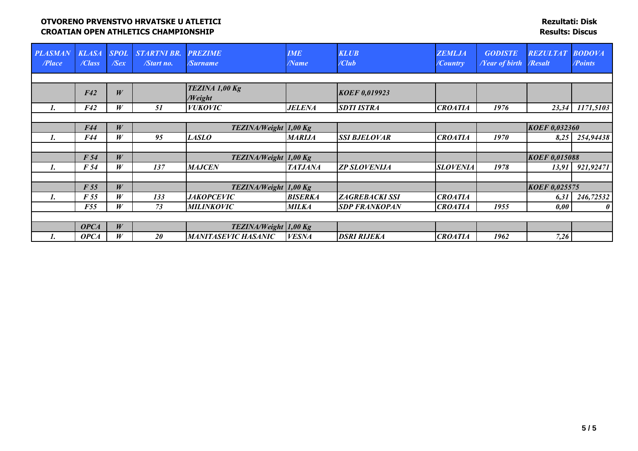| <b>PLASMAN</b><br>/Place | <b>KLASA</b><br>/Class | <b>SPOL</b><br>$\sqrt{Sex}$ | <b>STARTNI BR.</b><br>/Start no. | <b>PREZIME</b><br><b>/Surname</b> | <b>IME</b><br>$\sqrt{N}$ ame | <b>KLUB</b><br>$\angle$ Club | <b>ZEMLJA</b><br>/Country | <b>GODISTE</b><br><b>/Year of birth   /Resalt</b> | <b>REZULTAT</b>      | <b>BODOVA</b><br><i><b>Points</b></i> |
|--------------------------|------------------------|-----------------------------|----------------------------------|-----------------------------------|------------------------------|------------------------------|---------------------------|---------------------------------------------------|----------------------|---------------------------------------|
|                          |                        |                             |                                  |                                   |                              |                              |                           |                                                   |                      |                                       |
|                          | F42                    | W                           |                                  | TEZINA 1,00 Kg<br>/Weight         |                              | <b>KOEF 0,019923</b>         |                           |                                                   |                      |                                       |
| 1.                       | <b>F42</b>             | W                           | 51                               | <b>VUKOVIC</b>                    | <b>JELENA</b>                | <b>SDTI ISTRA</b>            | <b>CROATIA</b>            | 1976                                              | 23,34                | 1171,5103                             |
|                          |                        |                             |                                  |                                   |                              |                              |                           |                                                   |                      |                                       |
|                          | F44                    | W                           |                                  | TEZINA/Weight 1,00 Kg             |                              |                              |                           |                                                   | <b>KOEF 0,032360</b> |                                       |
| 1.                       | F44                    | W                           | 95                               | <b>LASLO</b>                      | <b>MARIJA</b>                | <b>SSI BJELOVAR</b>          | <b>CROATIA</b>            | 1970                                              | 8,25                 | 254,94438                             |
|                          |                        |                             |                                  |                                   |                              |                              |                           |                                                   |                      |                                       |
|                          | F <sub>54</sub>        | W                           |                                  | TEZINA/Weight 1,00 Kg             |                              |                              |                           |                                                   | <b>KOEF 0,015088</b> |                                       |
| 1.                       | F 54                   | W                           | 137                              | <b>MAJCEN</b>                     | <b>TATJANA</b>               | <b>ZP SLOVENIJA</b>          | <b>SLOVENIA</b>           | 1978                                              | 13,91                | 921,92471                             |
|                          |                        |                             |                                  |                                   |                              |                              |                           |                                                   |                      |                                       |
|                          | F 55                   | W                           |                                  | TEZINA/Weight 1,00 Kg             |                              |                              |                           |                                                   | KOEF 0,025575        |                                       |
| 1.                       | F 55                   | W                           | 133                              | <b>JAKOPCEVIC</b>                 | <b>BISERKA</b>               | <b>ZAGREBACKI SSI</b>        | <b>CROATIA</b>            |                                                   | 6,31                 | 246,72532                             |
|                          | <b>F55</b>             | W                           | 73                               | <b>MILINKOVIC</b>                 | <b>MILKA</b>                 | <b>SDP FRANKOPAN</b>         | <b>CROATIA</b>            | 1955                                              | 0,00                 | $\theta$                              |
|                          |                        |                             |                                  |                                   |                              |                              |                           |                                                   |                      |                                       |
|                          | <b>OPCA</b>            | W                           |                                  | TEZINA/Weight 1,00 Kg             |                              |                              |                           |                                                   |                      |                                       |
| ı.                       | <b>OPCA</b>            | W                           | 20                               | <b>MANITASEVIC HASANIC</b>        | <b>VESNA</b>                 | <b>DSRI RIJEKA</b>           | <b>CROATIA</b>            | 1962                                              | 7,26                 |                                       |